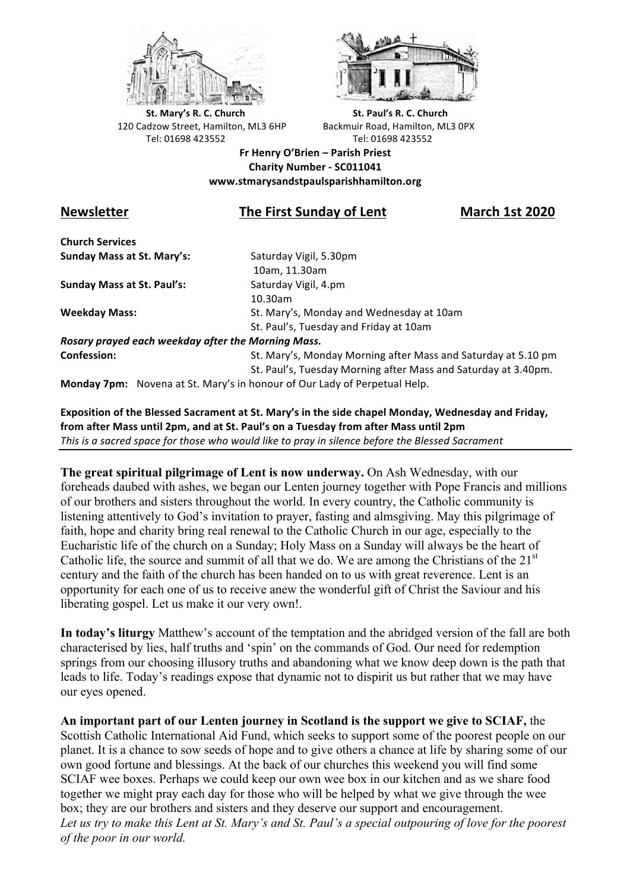



**St.** Mary's R. C. Church St. Paul's R. C. Church 120 Cadzow Street, Hamilton, ML3 6HP Backmuir Road, Hamilton, ML3 0PX Tel: 01698 423552 Tel: 01698 423552

**Fr Henry O'Brien – Parish Priest Charity Number - SC011041 www.stmarysandstpaulsparishhamilton.org**

# **Newsletter The First Sunday of Lent March 1st 2020**

**Church Services Sunday Mass at St. Mary's:** Saturday Vigil, 5.30pm

**Sunday Mass at St. Paul's:** Saturday Vigil, 4.pm

 10am, 11.30am 10.30am **Weekday Mass:** St. Mary's, Monday and Wednesday at 10am St. Paul's, Tuesday and Friday at 10am

*Rosary prayed each weekday after the Morning Mass.* **Confession:** St. Mary's, Monday Morning after Mass and Saturday at 5.10 pm

St. Paul's, Tuesday Morning after Mass and Saturday at 3.40pm.

**Monday 7pm:** Novena at St. Mary's in honour of Our Lady of Perpetual Help.

Exposition of the Blessed Sacrament at St. Mary's in the side chapel Monday, Wednesday and Friday, from after Mass until 2pm, and at St. Paul's on a Tuesday from after Mass until 2pm This is a sacred space for those who would like to pray in silence before the Blessed Sacrament

**The great spiritual pilgrimage of Lent is now underway.** On Ash Wednesday, with our foreheads daubed with ashes, we began our Lenten journey together with Pope Francis and millions of our brothers and sisters throughout the world. In every country, the Catholic community is listening attentively to God's invitation to prayer, fasting and almsgiving. May this pilgrimage of faith, hope and charity bring real renewal to the Catholic Church in our age, especially to the Eucharistic life of the church on a Sunday; Holy Mass on a Sunday will always be the heart of Catholic life, the source and summit of all that we do. We are among the Christians of the  $21<sup>st</sup>$ century and the faith of the church has been handed on to us with great reverence. Lent is an opportunity for each one of us to receive anew the wonderful gift of Christ the Saviour and his liberating gospel. Let us make it our very own!.

**In today's liturgy** Matthew's account of the temptation and the abridged version of the fall are both characterised by lies, half truths and 'spin' on the commands of God. Our need for redemption springs from our choosing illusory truths and abandoning what we know deep down is the path that leads to life. Today's readings expose that dynamic not to dispirit us but rather that we may have our eyes opened.

**An important part of our Lenten journey in Scotland is the support we give to SCIAF,** the Scottish Catholic International Aid Fund, which seeks to support some of the poorest people on our planet. It is a chance to sow seeds of hope and to give others a chance at life by sharing some of our own good fortune and blessings. At the back of our churches this weekend you will find some SCIAF wee boxes. Perhaps we could keep our own wee box in our kitchen and as we share food together we might pray each day for those who will be helped by what we give through the wee box; they are our brothers and sisters and they deserve our support and encouragement. *Let us try to make this Lent at St. Mary's and St. Paul's a special outpouring of love for the poorest of the poor in our world.*